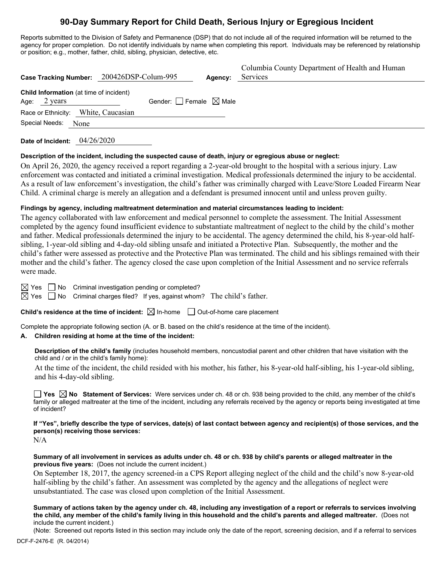# **90-Day Summary Report for Child Death, Serious Injury or Egregious Incident**

Reports submitted to the Division of Safety and Permanence (DSP) that do not include all of the required information will be returned to the agency for proper completion. Do not identify individuals by name when completing this report. Individuals may be referenced by relationship or position; e.g., mother, father, child, sibling, physician, detective, etc.

| Case Tracking Number: 200426DSP-Colum-995                                |                                        | Agency: | Columbia County Department of Health and Human<br>Services |
|--------------------------------------------------------------------------|----------------------------------------|---------|------------------------------------------------------------|
| <b>Child Information</b> (at time of incident)<br>Age: $2 \text{ years}$ | Gender: $\Box$ Female $\boxtimes$ Male |         |                                                            |
| Race or Ethnicity: White, Caucasian                                      |                                        |         |                                                            |
| Special Needs:<br>None                                                   |                                        |         |                                                            |

**Date of Incident:** 04/26/2020

#### **Description of the incident, including the suspected cause of death, injury or egregious abuse or neglect:**

On April 26, 2020, the agency received a report regarding a 2-year-old brought to the hospital with a serious injury. Law enforcement was contacted and initiated a criminal investigation. Medical professionals determined the injury to be accidental. As a result of law enforcement's investigation, the child's father was criminally charged with Leave/Store Loaded Firearm Near Child. A criminal charge is merely an allegation and a defendant is presumed innocent until and unless proven guilty.

## **Findings by agency, including maltreatment determination and material circumstances leading to incident:**

The agency collaborated with law enforcement and medical personnel to complete the assessment. The Initial Assessment completed by the agency found insufficient evidence to substantiate maltreatment of neglect to the child by the child's mother and father. Medical professionals determined the injury to be accidental. The agency determined the child, his 8-year-old halfsibling, 1-year-old sibling and 4-day-old sibling unsafe and initiated a Protective Plan. Subsequently, the mother and the child's father were assessed as protective and the Protective Plan was terminated. The child and his siblings remained with their mother and the child's father. The agency closed the case upon completion of the Initial Assessment and no service referrals were made.

 $\boxtimes$  Yes  $\Box$  No Criminal investigation pending or completed?

 $\boxtimes$  Yes  $\Box$  No Criminal charges filed? If yes, against whom? The child's father.

**Child's residence at the time of incident:**  $\boxtimes$  In-home  $\Box$  Out-of-home care placement

Complete the appropriate following section (A. or B. based on the child's residence at the time of the incident).

#### **A. Children residing at home at the time of the incident:**

**Description of the child's family** (includes household members, noncustodial parent and other children that have visitation with the child and / or in the child's family home):

At the time of the incident, the child resided with his mother, his father, his 8-year-old half-sibling, his 1-year-old sibling, and his 4-day-old sibling.

■ Yes **No** Statement of Services: Were services under ch. 48 or ch. 938 being provided to the child, any member of the child's family or alleged maltreater at the time of the incident, including any referrals received by the agency or reports being investigated at time of incident?

**If "Yes", briefly describe the type of services, date(s) of last contact between agency and recipient(s) of those services, and the person(s) receiving those services:**

N/A

**Summary of all involvement in services as adults under ch. 48 or ch. 938 by child's parents or alleged maltreater in the previous five years:** (Does not include the current incident.)

On September 18, 2017, the agency screened-in a CPS Report alleging neglect of the child and the child's now 8-year-old half-sibling by the child's father. An assessment was completed by the agency and the allegations of neglect were unsubstantiated. The case was closed upon completion of the Initial Assessment.

**Summary of actions taken by the agency under ch. 48, including any investigation of a report or referrals to services involving the child, any member of the child's family living in this household and the child's parents and alleged maltreater.** (Does not include the current incident.)

(Note: Screened out reports listed in this section may include only the date of the report, screening decision, and if a referral to services